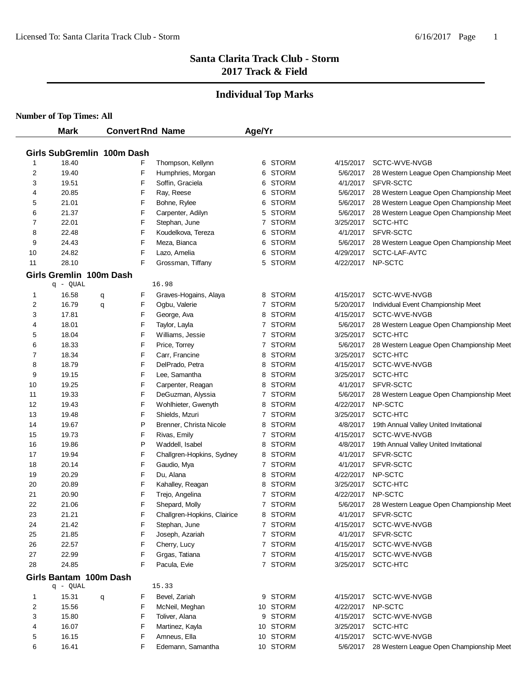#### **Individual Top Marks**

|                | <b>Mark</b>                        | <b>Convert Rnd Name</b> |                             | Age/Yr |              |           |                                          |
|----------------|------------------------------------|-------------------------|-----------------------------|--------|--------------|-----------|------------------------------------------|
|                |                                    |                         |                             |        |              |           |                                          |
|                | Girls SubGremlin 100m Dash         |                         |                             |        |              |           |                                          |
| 1              | 18.40                              | F                       | Thompson, Kellynn           | 6      | <b>STORM</b> | 4/15/2017 | SCTC-WVE-NVGB                            |
| 2              | 19.40                              | F                       | Humphries, Morgan           | 6      | <b>STORM</b> | 5/6/2017  | 28 Western League Open Championship Meet |
| 3              | 19.51                              | F                       | Soffin, Graciela            | 6      | <b>STORM</b> | 4/1/2017  | SFVR-SCTC                                |
| 4              | 20.85                              | F                       | Ray, Reese                  | 6      | <b>STORM</b> | 5/6/2017  | 28 Western League Open Championship Meet |
| 5              | 21.01                              | F                       | Bohne, Rylee                | 6      | STORM        | 5/6/2017  | 28 Western League Open Championship Meet |
| 6              | 21.37                              | F                       | Carpenter, Adilyn           | 5      | <b>STORM</b> | 5/6/2017  | 28 Western League Open Championship Meet |
| $\overline{7}$ | 22.01                              | F                       | Stephan, June               |        | 7 STORM      | 3/25/2017 | SCTC-HTC                                 |
| 8              | 22.48                              | F                       | Koudelkova, Tereza          | 6      | STORM        | 4/1/2017  | SFVR-SCTC                                |
| 9              | 24.43                              | F                       | Meza, Bianca                | 6      | <b>STORM</b> | 5/6/2017  | 28 Western League Open Championship Meet |
| 10             | 24.82                              | F                       | Lazo, Amelia                | 6      | <b>STORM</b> | 4/29/2017 | SCTC-LAF-AVTC                            |
| 11             | 28.10                              | F                       | Grossman, Tiffany           | 5      | <b>STORM</b> | 4/22/2017 | NP-SCTC                                  |
|                | Girls Gremlin 100m Dash            |                         |                             |        |              |           |                                          |
|                | q - QUAL                           |                         | 16.98                       |        |              |           |                                          |
| 1              | 16.58                              | F<br>q                  | Graves-Hogains, Alaya       | 8      | <b>STORM</b> | 4/15/2017 | SCTC-WVE-NVGB                            |
| 2              | 16.79                              | F<br>q                  | Ogbu, Valerie               |        | 7 STORM      | 5/20/2017 | Individual Event Championship Meet       |
| 3              | 17.81                              | F                       | George, Ava                 | 8      | <b>STORM</b> | 4/15/2017 | SCTC-WVE-NVGB                            |
| 4              | 18.01                              | F                       | Taylor, Layla               |        | 7 STORM      | 5/6/2017  | 28 Western League Open Championship Meet |
| 5              | 18.04                              | F                       | Williams, Jessie            | 7      | <b>STORM</b> | 3/25/2017 | SCTC-HTC                                 |
| 6              | 18.33                              | F                       | Price, Torrey               |        | 7 STORM      | 5/6/2017  | 28 Western League Open Championship Meet |
| 7              | 18.34                              | F                       | Carr, Francine              | 8      | <b>STORM</b> | 3/25/2017 | SCTC-HTC                                 |
| 8              | 18.79                              | F                       | DelPrado, Petra             | 8      | <b>STORM</b> | 4/15/2017 | SCTC-WVE-NVGB                            |
| 9              | 19.15                              | F                       | Lee, Samantha               | 8      | STORM        | 3/25/2017 | SCTC-HTC                                 |
| 10             | 19.25                              | F                       | Carpenter, Reagan           | 8      | STORM        | 4/1/2017  | SFVR-SCTC                                |
| 11             | 19.33                              | F                       | DeGuzman, Alyssia           |        | 7 STORM      | 5/6/2017  | 28 Western League Open Championship Meet |
| 12             | 19.43                              | F                       | Wohlhieter, Gwenyth         | 8      | STORM        | 4/22/2017 | NP-SCTC                                  |
| 13             | 19.48                              | F                       | Shields, Mzuri              |        | 7 STORM      | 3/25/2017 | SCTC-HTC                                 |
| 14             | 19.67                              | P                       | Brenner, Christa Nicole     | 8      | <b>STORM</b> | 4/8/2017  | 19th Annual Valley United Invitational   |
| 15             | 19.73                              | F                       | Rivas, Emily                |        | 7 STORM      | 4/15/2017 | SCTC-WVE-NVGB                            |
| 16             | 19.86                              | P                       | Waddell, Isabel             | 8      | <b>STORM</b> | 4/8/2017  | 19th Annual Valley United Invitational   |
| 17             | 19.94                              | F                       | Challgren-Hopkins, Sydney   | 8      | <b>STORM</b> | 4/1/2017  | SFVR-SCTC                                |
| 18             | 20.14                              | F                       | Gaudio, Mya                 |        | 7 STORM      | 4/1/2017  | SFVR-SCTC                                |
| 19             | 20.29                              | F                       | Du, Alana                   | 8      | <b>STORM</b> | 4/22/2017 | NP-SCTC                                  |
| 20             | 20.89                              | F                       | Kahalley, Reagan            | 8      | <b>STORM</b> | 3/25/2017 | SCTC-HTC                                 |
| 21             | 20.90                              | F                       | Trejo, Angelina             |        | 7 STORM      | 4/22/2017 | NP-SCTC                                  |
| 22             | 21.06                              | F                       | Shepard, Molly              |        | 7 STORM      | 5/6/2017  | 28 Western League Open Championship Meet |
| 23             | 21.21                              | F                       | Challgren-Hopkins, Clairice |        | 8 STORM      | 4/1/2017  | SFVR-SCTC                                |
| 24             | 21.42                              | F                       | Stephan, June               |        | 7 STORM      | 4/15/2017 | SCTC-WVE-NVGB                            |
| 25             | 21.85                              | F                       | Joseph, Azariah             |        | 7 STORM      | 4/1/2017  | SFVR-SCTC                                |
| 26             | 22.57                              | F                       | Cherry, Lucy                |        | 7 STORM      | 4/15/2017 | SCTC-WVE-NVGB                            |
| 27             | 22.99                              | F                       | Grgas, Tatiana              |        | 7 STORM      | 4/15/2017 | SCTC-WVE-NVGB                            |
| 28             | 24.85                              | F                       | Pacula, Evie                |        | 7 STORM      | 3/25/2017 | SCTC-HTC                                 |
|                | Girls Bantam 100m Dash<br>q - QUAL |                         | 15.33                       |        |              |           |                                          |
| 1              | 15.31                              | F<br>q                  | Bevel, Zariah               |        | 9 STORM      | 4/15/2017 | SCTC-WVE-NVGB                            |
| 2              | 15.56                              | F                       | McNeil, Meghan              |        | 10 STORM     | 4/22/2017 | NP-SCTC                                  |
| 3              | 15.80                              | F                       | Toliver, Alana              |        | 9 STORM      | 4/15/2017 | SCTC-WVE-NVGB                            |
| 4              | 16.07                              | F                       | Martinez, Kayla             |        | 10 STORM     | 3/25/2017 | SCTC-HTC                                 |
| 5              | 16.15                              | F                       | Amneus, Ella                |        | 10 STORM     | 4/15/2017 | SCTC-WVE-NVGB                            |
| 6              | 16.41                              | F                       | Edemann, Samantha           |        | 10 STORM     | 5/6/2017  | 28 Western League Open Championship Meet |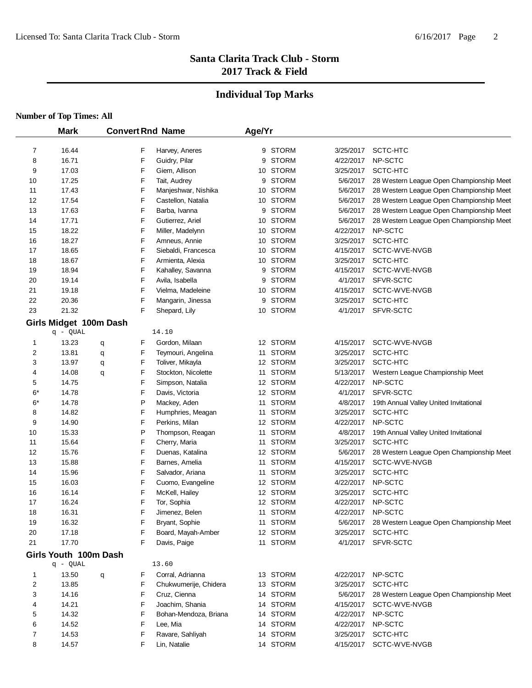# **Individual Top Marks**

|                | <b>Mark</b>            |   |   | <b>Convert Rnd Name</b> | Age/Yr |              |           |                                          |
|----------------|------------------------|---|---|-------------------------|--------|--------------|-----------|------------------------------------------|
| 7              | 16.44                  |   | F | Harvey, Aneres          | 9      | <b>STORM</b> | 3/25/2017 | SCTC-HTC                                 |
| 8              | 16.71                  |   | F | Guidry, Pilar           | 9      | <b>STORM</b> | 4/22/2017 | NP-SCTC                                  |
| 9              | 17.03                  |   | F | Giem, Allison           |        | 10 STORM     | 3/25/2017 | SCTC-HTC                                 |
| 10             | 17.25                  |   | F | Tait, Audrey            | 9      | <b>STORM</b> | 5/6/2017  | 28 Western League Open Championship Meet |
| 11             | 17.43                  |   | F | Manjeshwar, Nishika     |        | 10 STORM     | 5/6/2017  | 28 Western League Open Championship Meet |
| 12             | 17.54                  |   | F | Castellon, Natalia      |        | 10 STORM     | 5/6/2017  | 28 Western League Open Championship Meet |
| 13             | 17.63                  |   | F | Barba, Ivanna           | 9      | <b>STORM</b> | 5/6/2017  | 28 Western League Open Championship Meet |
| 14             | 17.71                  |   | F | Gutierrez, Ariel        |        | 10 STORM     | 5/6/2017  | 28 Western League Open Championship Meet |
| 15             | 18.22                  |   | F | Miller, Madelynn        |        | 10 STORM     | 4/22/2017 | NP-SCTC                                  |
| 16             | 18.27                  |   | F | Amneus, Annie           |        | 10 STORM     | 3/25/2017 | SCTC-HTC                                 |
| 17             | 18.65                  |   | F | Siebaldi, Francesca     |        | 10 STORM     | 4/15/2017 | SCTC-WVE-NVGB                            |
| 18             | 18.67                  |   | F | Armienta, Alexia        |        | 10 STORM     | 3/25/2017 | SCTC-HTC                                 |
| 19             | 18.94                  |   | F | Kahalley, Savanna       | 9      | <b>STORM</b> | 4/15/2017 | SCTC-WVE-NVGB                            |
| 20             | 19.14                  |   | F | Avila, Isabella         | 9      | <b>STORM</b> | 4/1/2017  | SFVR-SCTC                                |
| 21             | 19.18                  |   | F | Vielma, Madeleine       |        | 10 STORM     | 4/15/2017 | SCTC-WVE-NVGB                            |
| 22             | 20.36                  |   | F | Mangarin, Jinessa       | 9      | <b>STORM</b> | 3/25/2017 | SCTC-HTC                                 |
| 23             | 21.32                  |   | F | Shepard, Lily           |        | 10 STORM     | 4/1/2017  | SFVR-SCTC                                |
|                | Girls Midget 100m Dash |   |   |                         |        |              |           |                                          |
|                | q - QUAL               |   |   | 14.10                   |        |              |           |                                          |
| $\mathbf{1}$   | 13.23                  | q | F | Gordon, Milaan          |        | 12 STORM     | 4/15/2017 | SCTC-WVE-NVGB                            |
| 2              | 13.81                  | q | F | Teymouri, Angelina      |        | 11 STORM     | 3/25/2017 | SCTC-HTC                                 |
| 3              | 13.97                  | q | F | Toliver, Mikayla        |        | 12 STORM     | 3/25/2017 | SCTC-HTC                                 |
| 4              | 14.08                  | q | F | Stockton, Nicolette     |        | 11 STORM     | 5/13/2017 | Western League Championship Meet         |
| 5              | 14.75                  |   | F | Simpson, Natalia        |        | 12 STORM     | 4/22/2017 | NP-SCTC                                  |
| $6*$           | 14.78                  |   | F | Davis, Victoria         |        | 12 STORM     | 4/1/2017  | SFVR-SCTC                                |
| $6*$           | 14.78                  |   | P | Mackey, Aden            |        | 11 STORM     | 4/8/2017  | 19th Annual Valley United Invitational   |
| 8              | 14.82                  |   | F | Humphries, Meagan       |        | 11 STORM     | 3/25/2017 | SCTC-HTC                                 |
| 9              | 14.90                  |   | F | Perkins, Milan          |        | 12 STORM     | 4/22/2017 | NP-SCTC                                  |
| 10             | 15.33                  |   | P | Thompson, Reagan        |        | 11 STORM     | 4/8/2017  | 19th Annual Valley United Invitational   |
| 11             | 15.64                  |   | F | Cherry, Maria           |        | 11 STORM     | 3/25/2017 | SCTC-HTC                                 |
| 12             | 15.76                  |   | F | Duenas, Katalina        |        | 12 STORM     | 5/6/2017  | 28 Western League Open Championship Meet |
| 13             | 15.88                  |   | F | Barnes, Amelia          |        | 11 STORM     | 4/15/2017 | SCTC-WVE-NVGB                            |
| 14             | 15.96                  |   | F | Salvador, Ariana        |        | 11 STORM     | 3/25/2017 | SCTC-HTC                                 |
| 15             | 16.03                  |   | F | Cuomo, Evangeline       |        | 12 STORM     | 4/22/2017 | NP-SCTC                                  |
| 16             | 16.14                  |   | F | McKell, Hailey          |        | 12 STORM     | 3/25/2017 | SCTC-HTC                                 |
| 17             | 16.24                  |   | F | Tor, Sophia             |        | 12 STORM     | 4/22/2017 | NP-SCTC                                  |
| 18             | 16.31                  |   | F | Jimenez, Belen          |        | 11 STORM     | 4/22/2017 | NP-SCTC                                  |
| 19             | 16.32                  |   | F | Bryant, Sophie          |        | 11 STORM     | 5/6/2017  | 28 Western League Open Championship Meet |
| 20             | 17.18                  |   | F | Board, Mayah-Amber      |        | 12 STORM     | 3/25/2017 | SCTC-HTC                                 |
| 21             | 17.70                  |   | F | Davis, Paige            |        | 11 STORM     | 4/1/2017  | SFVR-SCTC                                |
|                | Girls Youth 100m Dash  |   |   |                         |        |              |           |                                          |
|                | q - QUAL               |   |   | 13.60                   |        |              |           |                                          |
| $\mathbf{1}$   | 13.50                  | q | F | Corral, Adrianna        |        | 13 STORM     | 4/22/2017 | NP-SCTC                                  |
| $\overline{c}$ | 13.85                  |   | F | Chukwumerije, Chidera   |        | 13 STORM     | 3/25/2017 | SCTC-HTC                                 |
| 3              | 14.16                  |   | F | Cruz, Cienna            |        | 14 STORM     | 5/6/2017  | 28 Western League Open Championship Meet |
| 4              | 14.21                  |   | F | Joachim, Shania         |        | 14 STORM     | 4/15/2017 | SCTC-WVE-NVGB                            |
| 5              | 14.32                  |   | F | Bohan-Mendoza, Briana   |        | 14 STORM     | 4/22/2017 | NP-SCTC                                  |
| 6              | 14.52                  |   | F | Lee, Mia                |        | 14 STORM     | 4/22/2017 | NP-SCTC                                  |
| 7              | 14.53                  |   | F | Ravare, Sahliyah        |        | 14 STORM     | 3/25/2017 | SCTC-HTC                                 |
| 8              | 14.57                  |   | F | Lin, Natalie            |        | 14 STORM     | 4/15/2017 | SCTC-WVE-NVGB                            |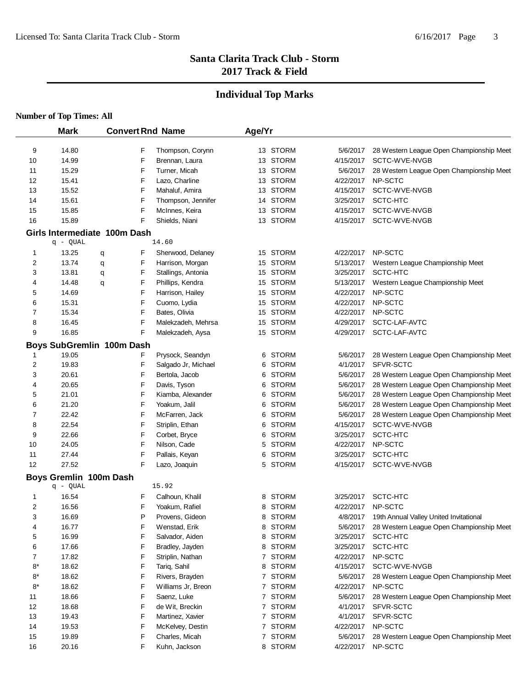# **Individual Top Marks**

|          | <b>Mark</b>                  |   |        | <b>Convert Rnd Name</b>          | Age/Yr |                      |                        |                                                 |
|----------|------------------------------|---|--------|----------------------------------|--------|----------------------|------------------------|-------------------------------------------------|
|          |                              |   |        |                                  |        |                      |                        |                                                 |
| 9        | 14.80                        |   | F<br>F | Thompson, Corynn                 |        | 13 STORM             | 5/6/2017               | 28 Western League Open Championship Meet        |
| 10       | 14.99                        |   | F      | Brennan, Laura                   |        | 13 STORM             | 4/15/2017              | SCTC-WVE-NVGB                                   |
| 11       | 15.29                        |   |        | Turner, Micah                    |        | 13 STORM             | 5/6/2017               | 28 Western League Open Championship Meet        |
| 12       | 15.41                        |   | F      | Lazo, Charline                   |        | 13 STORM             | 4/22/2017              | NP-SCTC<br>SCTC-WVE-NVGB                        |
| 13       | 15.52                        |   | F<br>F | Mahaluf, Amira                   |        | 13 STORM<br>14 STORM | 4/15/2017<br>3/25/2017 | SCTC-HTC                                        |
| 14       | 15.61<br>15.85               |   |        | Thompson, Jennifer               |        | 13 STORM             | 4/15/2017              | SCTC-WVE-NVGB                                   |
| 15<br>16 | 15.89                        |   | F<br>F | McInnes, Keira<br>Shields, Niani |        | 13 STORM             | 4/15/2017              | SCTC-WVE-NVGB                                   |
|          |                              |   |        |                                  |        |                      |                        |                                                 |
|          | Girls Intermediate 100m Dash |   |        | 14.60                            |        |                      |                        |                                                 |
|          | q - QUAL<br>13.25            |   |        |                                  |        | 15 STORM             | 4/22/2017              | NP-SCTC                                         |
| 1        |                              | q | F      | Sherwood, Delaney                |        |                      |                        |                                                 |
| 2        | 13.74                        | q | F      | Harrison, Morgan                 |        | 15 STORM             | 5/13/2017              | Western League Championship Meet                |
| 3        | 13.81                        | q | F      | Stallings, Antonia               |        | 15 STORM             | 3/25/2017              | SCTC-HTC                                        |
| 4        | 14.48                        | q | F      | Phillips, Kendra                 |        | 15 STORM             | 5/13/2017              | Western League Championship Meet                |
| 5        | 14.69                        |   | F      | Harrison, Hailey                 |        | 15 STORM             | 4/22/2017              | NP-SCTC                                         |
| 6        | 15.31                        |   | F      | Cuomo, Lydia                     |        | 15 STORM             | 4/22/2017              | NP-SCTC                                         |
| 7        | 15.34                        |   | F      | Bates, Olivia                    |        | 15 STORM             | 4/22/2017              | NP-SCTC                                         |
| 8        | 16.45                        |   | F      | Malekzadeh, Mehrsa               |        | 15 STORM             | 4/29/2017              | SCTC-LAF-AVTC                                   |
| 9        | 16.85                        |   | F      | Malekzadeh, Aysa                 |        | 15 STORM             | 4/29/2017              | SCTC-LAF-AVTC                                   |
|          | Boys SubGremlin 100m Dash    |   |        |                                  |        |                      |                        |                                                 |
| 1        | 19.05                        |   | F      | Prysock, Seandyn                 | 6      | <b>STORM</b>         | 5/6/2017               | 28 Western League Open Championship Meet        |
| 2        | 19.83                        |   | F      | Salgado Jr, Michael              | 6      | <b>STORM</b>         | 4/1/2017               | SFVR-SCTC                                       |
| 3        | 20.61                        |   | F      | Bertola, Jacob                   | 6      | <b>STORM</b>         | 5/6/2017               | 28 Western League Open Championship Meet        |
| 4        | 20.65                        |   | F      | Davis, Tyson                     | 6      | <b>STORM</b>         | 5/6/2017               | 28 Western League Open Championship Meet        |
| 5        | 21.01                        |   | F      | Kiamba, Alexander                | 6.     | <b>STORM</b>         | 5/6/2017               | 28 Western League Open Championship Meet        |
| 6        | 21.20                        |   | F      | Yoakum, Jalil                    | 6      | STORM                | 5/6/2017               | 28 Western League Open Championship Meet        |
| 7        | 22.42                        |   | F      | McFarren, Jack                   | 6      | STORM                | 5/6/2017               | 28 Western League Open Championship Meet        |
| 8        | 22.54                        |   | F      | Striplin, Ethan                  | 6      | <b>STORM</b>         | 4/15/2017              | SCTC-WVE-NVGB                                   |
| 9        | 22.66                        |   | F      | Corbet, Bryce                    | 6      | <b>STORM</b>         | 3/25/2017              | SCTC-HTC                                        |
| 10       | 24.05                        |   | F      | Nilson, Cade                     | 5      | <b>STORM</b>         | 4/22/2017              | NP-SCTC                                         |
| 11       | 27.44                        |   | F      | Pallais, Keyan                   | 6      | <b>STORM</b>         | 3/25/2017              | SCTC-HTC                                        |
| 12       | 27.52                        |   | F      | Lazo, Joaquin                    |        | 5 STORM              | 4/15/2017              | SCTC-WVE-NVGB                                   |
|          | Boys Gremlin 100m Dash       |   |        |                                  |        |                      |                        |                                                 |
|          | q - QUAL                     |   |        | 15.92                            |        |                      |                        |                                                 |
| 1        | 16.54                        |   | F      | Calhoun, Khalil                  | 8      | <b>STORM</b>         | 3/25/2017              | SCTC-HTC                                        |
| 2        | 16.56                        |   | F      | Yoakum, Rafiel                   | 8      | STORM                |                        | 4/22/2017 NP-SCTC                               |
| 3        | 16.69                        |   | P      | Provens, Gideon                  |        | 8 STORM              |                        | 4/8/2017 19th Annual Valley United Invitational |
| 4        | 16.77                        |   | F      | Wenstad, Erik                    |        | 8 STORM              | 5/6/2017               | 28 Western League Open Championship Meet        |
| 5        | 16.99                        |   | F      | Salvador, Aiden                  |        | 8 STORM              | 3/25/2017              | SCTC-HTC                                        |
| 6        | 17.66                        |   | F      | Bradley, Jayden                  | 8      | <b>STORM</b>         | 3/25/2017              | SCTC-HTC                                        |
| 7        | 17.82                        |   | F      | Striplin, Nathan                 |        | 7 STORM              | 4/22/2017              | NP-SCTC                                         |
| 8*       | 18.62                        |   | F      | Tariq, Sahil                     |        | 8 STORM              | 4/15/2017              | SCTC-WVE-NVGB                                   |
| $8*$     | 18.62                        |   | F      | Rivers, Brayden                  |        | 7 STORM              | 5/6/2017               | 28 Western League Open Championship Meet        |
| 8*       | 18.62                        |   | F      | Williams Jr, Breon               |        | 7 STORM              | 4/22/2017              | NP-SCTC                                         |
| 11       | 18.66                        |   | F      | Saenz, Luke                      |        | 7 STORM              | 5/6/2017               | 28 Western League Open Championship Meet        |
| 12       | 18.68                        |   | F      | de Wit, Breckin                  |        | 7 STORM              | 4/1/2017               | SFVR-SCTC                                       |
| 13       | 19.43                        |   | F      | Martinez, Xavier                 |        | 7 STORM              | 4/1/2017               | SFVR-SCTC                                       |
| 14       | 19.53                        |   | F      | McKelvey, Destin                 |        | 7 STORM              | 4/22/2017              | NP-SCTC                                         |
| 15       | 19.89                        |   | F      | Charles, Micah                   |        | 7 STORM              | 5/6/2017               | 28 Western League Open Championship Meet        |
| 16       | 20.16                        |   | F      | Kuhn, Jackson                    |        | 8 STORM              | 4/22/2017              | NP-SCTC                                         |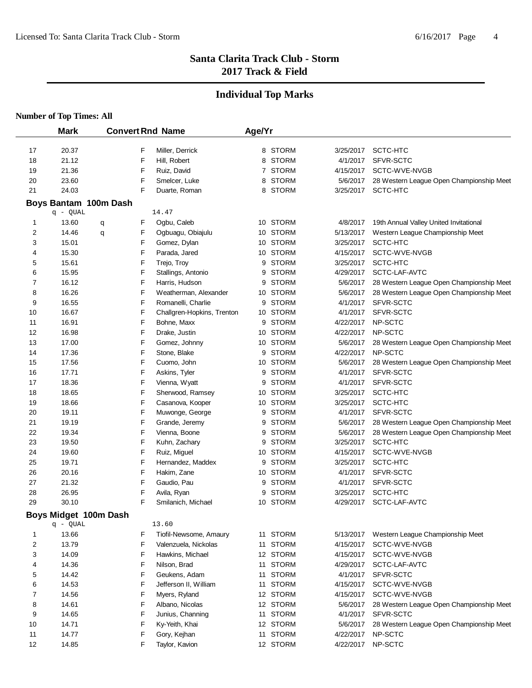# **Individual Top Marks**

|    |                       | <b>Convert Rnd Name</b> |   |                            | Age/Yr |              |           |                                          |
|----|-----------------------|-------------------------|---|----------------------------|--------|--------------|-----------|------------------------------------------|
| 17 | 20.37                 |                         | F | Miller, Derrick            |        | 8 STORM      | 3/25/2017 | SCTC-HTC                                 |
| 18 | 21.12                 |                         | F | Hill, Robert               |        | 8 STORM      | 4/1/2017  | SFVR-SCTC                                |
| 19 | 21.36                 |                         | F | Ruiz, David                |        | 7 STORM      | 4/15/2017 | SCTC-WVE-NVGB                            |
| 20 | 23.60                 |                         | F | Smelcer, Luke              | 8      | <b>STORM</b> | 5/6/2017  | 28 Western League Open Championship Meet |
| 21 | 24.03                 |                         | F | Duarte, Roman              |        | 8 STORM      | 3/25/2017 | SCTC-HTC                                 |
|    | Boys Bantam 100m Dash |                         |   |                            |        |              |           |                                          |
|    | $q - QUAL$            |                         |   | 14.47                      |        |              |           |                                          |
| 1  | 13.60                 | q                       | F | Ogbu, Caleb                |        | 10 STORM     | 4/8/2017  | 19th Annual Valley United Invitational   |
| 2  | 14.46                 | q                       | F | Ogbuagu, Obiajulu          |        | 10 STORM     | 5/13/2017 | Western League Championship Meet         |
| 3  | 15.01                 |                         | F | Gomez, Dylan               |        | 10 STORM     | 3/25/2017 | SCTC-HTC                                 |
| 4  | 15.30                 |                         | F | Parada, Jared              |        | 10 STORM     | 4/15/2017 | SCTC-WVE-NVGB                            |
| 5  | 15.61                 |                         | F | Trejo, Troy                |        | 9 STORM      | 3/25/2017 | SCTC-HTC                                 |
| 6  | 15.95                 |                         | F | Stallings, Antonio         |        | 9 STORM      | 4/29/2017 | SCTC-LAF-AVTC                            |
| 7  | 16.12                 |                         | F | Harris, Hudson             |        | 9 STORM      | 5/6/2017  | 28 Western League Open Championship Meet |
| 8  | 16.26                 |                         | F | Weatherman, Alexander      |        | 10 STORM     | 5/6/2017  | 28 Western League Open Championship Meet |
| 9  | 16.55                 |                         | F | Romanelli, Charlie         | 9      | <b>STORM</b> | 4/1/2017  | SFVR-SCTC                                |
| 10 | 16.67                 |                         | F | Challgren-Hopkins, Trenton |        | 10 STORM     | 4/1/2017  | SFVR-SCTC                                |
| 11 | 16.91                 |                         | F | Bohne, Maxx                |        | 9 STORM      | 4/22/2017 | NP-SCTC                                  |
| 12 | 16.98                 |                         | F | Drake, Justin              |        | 10 STORM     | 4/22/2017 | NP-SCTC                                  |
| 13 | 17.00                 |                         | F | Gomez, Johnny              |        | 10 STORM     | 5/6/2017  | 28 Western League Open Championship Meet |
| 14 | 17.36                 |                         | F | Stone, Blake               |        | 9 STORM      | 4/22/2017 | NP-SCTC                                  |
| 15 | 17.56                 |                         | F | Cuomo, John                |        | 10 STORM     | 5/6/2017  | 28 Western League Open Championship Meet |
| 16 | 17.71                 |                         | F | Askins, Tyler              | 9      | <b>STORM</b> | 4/1/2017  | SFVR-SCTC                                |
| 17 | 18.36                 |                         | F | Vienna, Wyatt              | 9      | <b>STORM</b> | 4/1/2017  | SFVR-SCTC                                |
| 18 | 18.65                 |                         | F | Sherwood, Ramsey           |        | 10 STORM     | 3/25/2017 | SCTC-HTC                                 |
| 19 | 18.66                 |                         | F | Casanova, Kooper           |        | 10 STORM     | 3/25/2017 | SCTC-HTC                                 |
| 20 | 19.11                 |                         | F | Muwonge, George            | 9      | STORM        | 4/1/2017  | SFVR-SCTC                                |
| 21 | 19.19                 |                         | F | Grande, Jeremy             | 9      | <b>STORM</b> | 5/6/2017  | 28 Western League Open Championship Meet |
| 22 | 19.34                 |                         | F | Vienna, Boone              | 9      | <b>STORM</b> | 5/6/2017  | 28 Western League Open Championship Meet |
| 23 | 19.50                 |                         | F | Kuhn, Zachary              |        | 9 STORM      | 3/25/2017 | SCTC-HTC                                 |
| 24 | 19.60                 |                         | F | Ruiz, Miguel               |        | 10 STORM     | 4/15/2017 | SCTC-WVE-NVGB                            |
| 25 | 19.71                 |                         | F | Hernandez, Maddex          |        | 9 STORM      | 3/25/2017 | SCTC-HTC                                 |
| 26 | 20.16                 |                         | F | Hakim, Zane                |        | 10 STORM     | 4/1/2017  | SFVR-SCTC                                |
| 27 | 21.32                 |                         | F | Gaudio, Pau                |        | 9 STORM      | 4/1/2017  | SFVR-SCTC                                |
| 28 | 26.95                 |                         | F | Avila, Ryan                | 9      | <b>STORM</b> | 3/25/2017 | SCTC-HTC                                 |
| 29 | 30.10                 |                         | F | Smilanich, Michael         |        | 10 STORM     | 4/29/2017 | SCTC-LAF-AVTC                            |
|    | Boys Midget 100m Dash |                         |   |                            |        |              |           |                                          |
|    | $q - QUAL$            |                         |   | 13.60                      |        |              |           |                                          |
| 1  | 13.66                 |                         | F | Tiofil-Newsome, Amaury     |        | 11 STORM     | 5/13/2017 | Western League Championship Meet         |
| 2  | 13.79                 |                         | F | Valenzuela, Nickolas       |        | 11 STORM     | 4/15/2017 | SCTC-WVE-NVGB                            |
| 3  | 14.09                 |                         | F | Hawkins, Michael           |        | 12 STORM     | 4/15/2017 | SCTC-WVE-NVGB                            |
| 4  | 14.36                 |                         | F | Nilson, Brad               |        | 11 STORM     | 4/29/2017 | SCTC-LAF-AVTC                            |
| 5  | 14.42                 |                         | F | Geukens, Adam              |        | 11 STORM     | 4/1/2017  | SFVR-SCTC                                |
| 6  | 14.53                 |                         | F | Jefferson II, William      |        | 11 STORM     | 4/15/2017 | SCTC-WVE-NVGB                            |
| 7  | 14.56                 |                         | F | Myers, Ryland              |        | 12 STORM     | 4/15/2017 | SCTC-WVE-NVGB                            |
| 8  | 14.61                 |                         | F | Albano, Nicolas            |        | 12 STORM     | 5/6/2017  | 28 Western League Open Championship Meet |
| 9  | 14.65                 |                         | F | Junius, Channing           |        | 11 STORM     | 4/1/2017  | SFVR-SCTC                                |
| 10 | 14.71                 |                         | F | Ky-Yeith, Khai             |        | 12 STORM     | 5/6/2017  | 28 Western League Open Championship Meet |
| 11 | 14.77                 |                         | F | Gory, Kejhan               |        | 11 STORM     | 4/22/2017 | NP-SCTC                                  |
| 12 | 14.85                 |                         | F | Taylor, Kavion             |        | 12 STORM     | 4/22/2017 | NP-SCTC                                  |
|    |                       |                         |   |                            |        |              |           |                                          |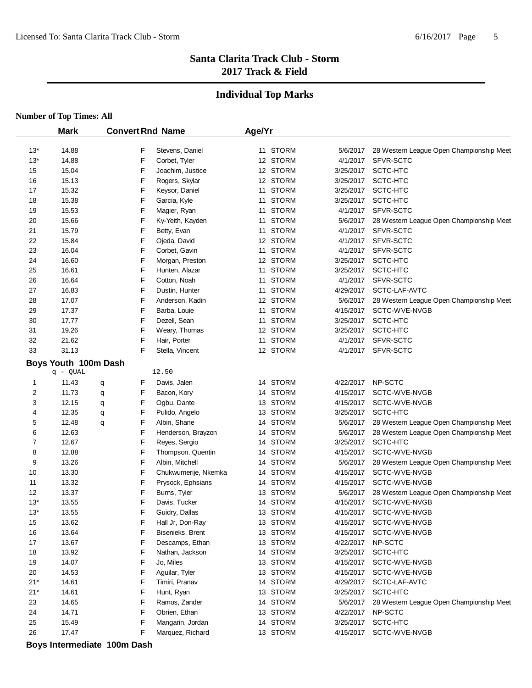#### **Individual Top Marks**

| <b>Number of Top Times: All</b> |  |  |  |  |
|---------------------------------|--|--|--|--|
|---------------------------------|--|--|--|--|

|             | <b>Mark</b>                      |        |   | <b>Convert Rnd Name</b>     | Age/Yr |                      |                       |                                          |
|-------------|----------------------------------|--------|---|-----------------------------|--------|----------------------|-----------------------|------------------------------------------|
| $13*$       | 14.88                            |        | F | Stevens, Daniel             |        | 11 STORM             | 5/6/2017              | 28 Western League Open Championship Meet |
| $13*$       | 14.88                            |        | F | Corbet, Tyler               |        | 12 STORM             | 4/1/2017              | SFVR-SCTC                                |
| 15          | 15.04                            |        | F | Joachim, Justice            |        | 12 STORM             | 3/25/2017             | SCTC-HTC                                 |
| 16          | 15.13                            |        | F | Rogers, Skylar              |        | 12 STORM             | 3/25/2017             | SCTC-HTC                                 |
| 17          | 15.32                            |        | F | Keysor, Daniel              |        | 11 STORM             | 3/25/2017             | SCTC-HTC                                 |
| 18          | 15.38                            |        | F | Garcia, Kyle                |        | 11 STORM             | 3/25/2017             | SCTC-HTC                                 |
| 19          | 15.53                            |        | F | Magier, Ryan                |        | 11 STORM             | 4/1/2017              | SFVR-SCTC                                |
| 20          | 15.66                            |        | F | Ky-Yeith, Kayden            |        | 11 STORM             | 5/6/2017              | 28 Western League Open Championship Meet |
| 21          | 15.79                            |        | F | Betty, Evan                 |        | 11 STORM             | 4/1/2017              | SFVR-SCTC                                |
| 22          | 15.84                            |        | F | Ojeda, David                |        | 12 STORM             | 4/1/2017              | SFVR-SCTC                                |
| 23          | 16.04                            |        | F | Corbet, Gavin               |        | 11 STORM             | 4/1/2017              | SFVR-SCTC                                |
| 24          | 16.60                            |        | F | Morgan, Preston             |        | 12 STORM             | 3/25/2017             | SCTC-HTC                                 |
| 25          | 16.61                            |        | F | Hunten, Alazar              |        | 11 STORM             | 3/25/2017             | SCTC-HTC                                 |
| 26          | 16.64                            |        | F | Cotton, Noah                |        | 11 STORM             | 4/1/2017              | SFVR-SCTC                                |
| 27          | 16.83                            |        | F | Dustin, Hunter              |        | 11 STORM             | 4/29/2017             | SCTC-LAF-AVTC                            |
| 28          | 17.07                            |        | F | Anderson, Kadin             |        | 12 STORM             | 5/6/2017              | 28 Western League Open Championship Meet |
| 29          | 17.37                            |        | F | Barba, Louie                |        | 11 STORM             | 4/15/2017             | SCTC-WVE-NVGB                            |
| 30          | 17.77                            |        | F | Dezell, Sean                |        | 11 STORM             | 3/25/2017             | SCTC-HTC                                 |
| 31          | 19.26                            |        | F | Weary, Thomas               |        | 12 STORM             | 3/25/2017             | SCTC-HTC                                 |
| 32          | 21.62                            |        | F | Hair, Porter                |        | 11 STORM             | 4/1/2017              | SFVR-SCTC                                |
| 33          | 31.13                            |        | F | Stella, Vincent             |        | 12 STORM             | 4/1/2017              | SFVR-SCTC                                |
|             |                                  |        |   |                             |        |                      |                       |                                          |
|             | Boys Youth 100m Dash<br>q - QUAL |        |   | 12.50                       |        |                      |                       |                                          |
| 1           | 11.43                            |        | F | Davis, Jalen                |        | 14 STORM             | 4/22/2017             | NP-SCTC                                  |
| 2           | 11.73                            | q      | F | Bacon, Kory                 |        | 14 STORM             | 4/15/2017             | SCTC-WVE-NVGB                            |
| 3           | 12.15                            | q      | F | Ogbu, Dante                 |        | 13 STORM             | 4/15/2017             | SCTC-WVE-NVGB                            |
| 4           | 12.35                            | q      | F | Pulido, Angelo              |        | 13 STORM             | 3/25/2017             | SCTC-HTC                                 |
| 5           | 12.48                            | q<br>q | F | Albin, Shane                |        | 14 STORM             | 5/6/2017              | 28 Western League Open Championship Meet |
| 6           | 12.63                            |        | F | Henderson, Brayzon          |        | 14 STORM             | 5/6/2017              | 28 Western League Open Championship Meet |
| 7           | 12.67                            |        | F | Reyes, Sergio               |        | 14 STORM             | 3/25/2017             | SCTC-HTC                                 |
| 8           | 12.88                            |        | F | Thompson, Quentin           |        | 14 STORM             | 4/15/2017             | SCTC-WVE-NVGB                            |
| 9           | 13.26                            |        | F | Albin, Mitchell             |        | 14 STORM             | 5/6/2017              | 28 Western League Open Championship Meet |
| 10          | 13.30                            |        | F | Chukwumerije, Nkemka        |        | 14 STORM             | 4/15/2017             | SCTC-WVE-NVGB                            |
| 11          | 13.32                            |        | F | Prysock, Ephsians           |        | 14 STORM             | 4/15/2017             | SCTC-WVE-NVGB                            |
| 12          | 13.37                            |        | F | Burns, Tyler                |        | 13 STORM             | 5/6/2017              | 28 Western League Open Championship Meet |
| $13*$       | 13.55                            |        | F | Davis, Tucker               |        | 14 STORM             | 4/15/2017             | SCTC-WVE-NVGB                            |
| $13*$       | 13.55                            |        | F | Guidry, Dallas              |        | 13 STORM             | 4/15/2017             | SCTC-WVE-NVGB                            |
| 15          | 13.62                            |        | F | Hall Jr, Don-Ray            |        | 13 STORM             |                       | 4/15/2017 SCTC-WVE-NVGB                  |
| 16          | 13.64                            |        | F | Bisenieks, Brent            |        | 13 STORM             | 4/15/2017             | SCTC-WVE-NVGB                            |
| 17          | 13.67                            |        | F | Descamps, Ethan             |        | 13 STORM             | 4/22/2017             | NP-SCTC                                  |
| 18          | 13.92                            |        | F | Nathan, Jackson             |        | 14 STORM             | 3/25/2017             | SCTC-HTC                                 |
| 19          | 14.07                            |        | F | Jo, Miles                   |        | 13 STORM             | 4/15/2017             | SCTC-WVE-NVGB                            |
| 20          | 14.53                            |        | F | Aguilar, Tyler              |        | 13 STORM             | 4/15/2017             | SCTC-WVE-NVGB                            |
| $21*$       | 14.61                            |        | F | Timiri, Pranav              |        | 14 STORM             | 4/29/2017             | SCTC-LAF-AVTC                            |
|             | 14.61                            |        | F |                             |        |                      |                       | SCTC-HTC                                 |
| $21*$<br>23 | 14.65                            |        | F | Hunt, Ryan<br>Ramos, Zander |        | 13 STORM<br>14 STORM | 3/25/2017<br>5/6/2017 | 28 Western League Open Championship Meet |
| 24          | 14.71                            |        | F | Obrien, Ethan               |        | 13 STORM             | 4/22/2017             | NP-SCTC                                  |
| 25          | 15.49                            |        | F | Mangarin, Jordan            |        | 14 STORM             | 3/25/2017             | SCTC-HTC                                 |
|             |                                  |        | F |                             |        |                      | 4/15/2017             | SCTC-WVE-NVGB                            |
| 26          | 17.47                            |        |   | Marquez, Richard            |        | 13 STORM             |                       |                                          |

**Boys Intermediate 100m Dash**